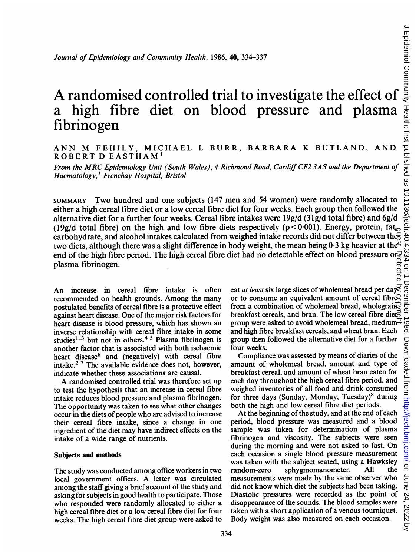تق

# a high fibre diet on blood pressure and plasma fibrinogen

## ANN M FEHILY, MICHAEL <sup>L</sup> BURR, BARBARA <sup>K</sup> BUTLAND, AND ROBERT D EASTHAM'

From the MRC Epidemiology Unit (South Wales), <sup>4</sup> Richmond Road, Cardiff CF2 3AS and the Department of Haematology,' Frenchay Hospital, Bristol

*Journal of Epidemiology and Community Health,* 1986. **40**, 334-337<br>
A randomised controlled trial to investigate the effect of  $\frac{3}{2}$ <br>  $\frac{1}{2}$ <br>  $\frac{1}{2}$  high filthere diret on the later on the same and plasma  $\frac{3$ SUMMARY Two hundred and one subjects (147 men and 54 women) were randomly allocated to either a high cereal fibre diet or a low cereal fibre diet for four weeks. Each group then followed the alternative diet for a further four weeks. Cereal fibre intakes were  $19g/d$  (31g/d total fibre) and 6g/d (19g/d total fibre) on the high and low fibre diets respectively (p<0.001). Energy, protein,  $fat_{0}$ carbohydrate, and alcohol intakes calculated from weighed intake records did not differ between the two diets, although there was a slight difference in body weight, the mean being 0.3 kg heavier at the end of the high fibre period. The high cereal fibre diet had no detectable effect on blood pressure or plasma fibrinogen.

An increase in cereal fibre intake is often recommended on health grounds. Among the many postulated benefits of cereal fibre is a protective effect against heart disease. One of the major risk factors for heart disease is blood pressure, which has shown an inverse relationship with cereal fibre intake in some studies<sup>1-3</sup> but not in others.<sup>45</sup> Plasma fibrinogen is another factor that is associated with both ischaemic heart disease<sup>6</sup> and (negatively) with cereal fibre intake.2 <sup>7</sup> The available evidence does not, however, indicate whether these associations are causal.

A randomised controlled trial was therefore set up to test the hypothesis that an increase in cereal fibre intake reduces blood pressure and plasma fibrinogen. The opportunity was taken to see what other changes occur in the diets of people who are advised to increase their cereal fibre intake, since a change in one ingredient of the diet may have indirect effects on the intake of a wide range of nutrients.

#### Subjects and methods

The study was conducted among office workers in two local government offices. A letter was circulated among the staff giving a brief account of the study and asking for subjects in good health to participate. Those who responded were randomly allocated to either a high cereal fibre diet or a low cereal fibre diet for four weeks. The high cereal fibre diet group were asked to eat at least six large slices of wholemeal bread per day or to consume an equivalent amount of cereal fibre from a combination of wholemeal bread, whole grain  $\mathbb{R}$ breakfast cereals, and bran. The low cereal fibre diet $\overline{\mathcal{C}}$ group were asked to avoid wholemeal bread, medium $\overrightarrow{=}$ and high fibre breakfast cereals, and wheat bran. Each group then followed the alternative diet for a further four weeks. guest. Protected by copyright.

Compliance was assessed by means of diaries of the amount of wholemeal bread, amount and type of breakfast cereal, and amount of wheat bran eaten for each day throughout the high cereal fibre period, and weighed inventories of all food and drink consumed for three days (Sunday, Monday, Tuesday)8 during both the high and low cereal fibre diet periods.

At the beginning of the study, and at the end of each period, blood pressure was measured and a blood sample was taken for determination of plasma fibrinogen and viscosity. The subjects were seen during the morning and were not asked to fast. On each occasion a single blood pressure measurement was taken with the subject seated, using a Hawksley<br>random-zero sphygmomanometer. All the random-zero sphygmomanometer. All measurements were made by the same observer who did not know which diet the subjects had been taking. Diastolic pressures were recorded as the point of disappearance of the sounds. The blood samples were taken with a short application of a venous tourniquet. Body weight was also measured on each occasion.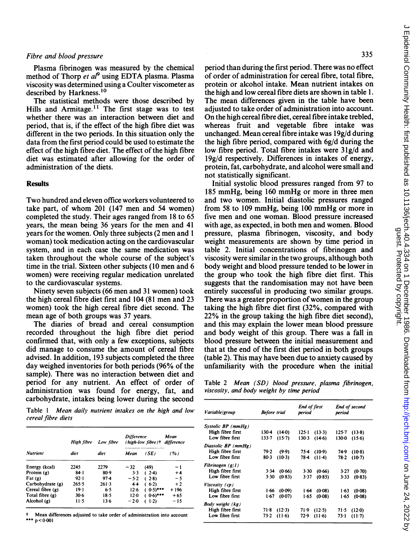Plasma fibrinogen was measured by the chemical method of Thorp et  $a<sup>p</sup>$  using EDTA plasma. Plasma viscosity was determined using a Coulter viscometer as described by Harkness.<sup>10</sup>

The statistical methods were those described by Hills and Armitage.<sup>11</sup> The first stage was to test whether there was an interaction between diet and period, that is, if the effect of the high fibre diet was different in the two periods. In this situation only the data from the first period could be used to estimate the effect of the high fibre diet. The effect of the high fibre diet was estimated after allowing for the order of administration of the diets.

#### **Results**

Two hundred and eleven office workers volunteered to take part, of whom <sup>201</sup> (147 men and 54 women) completed the study. Their ages ranged from 18 to 65 years, the mean being 36 years for the men and 41 years for the women. Only three subjects (2 men and <sup>1</sup> woman) took medication acting on the cardiovascular system, and in each case the same medication was taken throughout the whole course of the subject's time in the trial. Sixteen other subjects (10 men and 6 women) were receiving regular medication unrelated to the cardiovascular systems.

Ninety seven subjects (66 men and <sup>31</sup> women) took the high cereal fibre diet first and 104 (81 men and 23 women) took the high cereal fibre diet second. The mean age of both groups was 37 years.

The diaries of bread and cereal consumption recorded throughout the high fibre diet period confirmed that, with only a few exceptions, subjects did manage to consume the amount of cereal fibre advised. In addition, 193 subjects completed the three day weighed inventories for both periods (96% of the sample). There was no interaction between diet and period for any nutrient. An effect of order of administration was found for energy, fat, and carbohydrate, intakes being lower during the second

period than during the first period. There was no effect of order of administration for cereal fibre, total fibre, protein or alcohol intake. Mean nutrient intakes on the high and low cereal fibre diets are shown in table 1. The mean differences given in the table have been adjusted to take order of administration into account. On the high cereal fibre diet, cereal fibre intake trebled, whereas fruit and vegetable fibre intake was unchanged. Mean cereal fibre intake was 19g/d during the high fibre period, compared with 6g/d during the low fibre period. Total fibre intakes were 31g/d and 19g/d respectively. Differences in intakes of energy, protein, fat, carbohydrate, and alcohol were small and not statistically significant.

Initial systolic blood pressures ranged from 97 to <sup>185</sup> mmHg, being <sup>160</sup> mmHg or more in three men and two women. Initial diastolic pressures ranged from <sup>58</sup> to <sup>109</sup> mmHg, being <sup>100</sup> mmHg or more in five men and one woman. Blood pressure increased with age, as expected, in both men and women. Blood pressure, plasma fibrinogen, viscosity, and body weight measurements are shown by time period in table 2. Initial concentrations of fibrinogen and viscosity were similar in the two groups, although both body weight and blood pressure tended to be lower in the group who took the high fibre diet first. This suggests that the randomisation may not have been entirely successful in producing two similar groups. There was a greater proportion of women in the group taking the high fibre diet first (32%, compared with 22% in the group taking the high fibre diet second), and this may explain the lower mean blood pressure and body weight of this group. There was a fall in blood pressure between the initial measurement and that at the end of the first diet period in both groups (table 2). This may have been due to anxiety caused by unfamiliarity with the procedure when the initial

Table 2 Mean (SD) blood pressure, plasma fibrinogen, viscosity, and body weight by time period

| Table 1 Mean daily nutrient intakes on the high and low |  |  |  |  |  |
|---------------------------------------------------------|--|--|--|--|--|
| cereal fibre diets                                      |  |  |  |  |  |

|                    | High fibre | Low fibre | <b>Difference</b><br>(high-low fibre)† |                      | Mean<br>difference |  |
|--------------------|------------|-----------|----------------------------------------|----------------------|--------------------|--|
| <b>Nutrient</b>    | diet       | diet      | Mean                                   | (SE)                 | (%)                |  |
| Energy (kcal)      | 2245       | 2279      | $-32$                                  | (49)                 | - 1                |  |
| Protein (g)        | $84 - 1$   | 80.9      | $3-3$                                  | $(2-4)$              | $+4$               |  |
| $_{\text{Fat}}(g)$ | $92 - 1$   | $97-4$    | $-5.2$                                 | (28)                 | -5                 |  |
| Carbohydrate (g)   | $265 - 5$  | $261-3$   | $4 - 4$                                | (6.2)                | $+2$               |  |
| Cereal fibre (g)   | $19-1$     | 6.5       | $12 - 6$                               | $0.5$ <sup>***</sup> | $+196$             |  |
| Total fibre (g)    | $30-6$     | 18.5      | $12-0$                                 | $(0.6)***$           | $+65$              |  |
| Alcohol (g)        | 11.5       | $13-6$    | $-2.0$                                 | $1-2$                | $-15$              |  |

Mean differences adjusted to take order of administration into account \*\*\*  $p < 0.001$ 

| Variable/group      | <b>Before trial</b> | End of first<br>period | End of second<br>period |  |
|---------------------|---------------------|------------------------|-------------------------|--|
| Systolic BP (mmHg)  |                     |                        |                         |  |
| High fibre first    | 1304                | $125 - 1$              | 125-7                   |  |
|                     | (14.0)              | (13.3)                 | $(13-8)$                |  |
| Low fibre first     | 133-7               | $130-3$                | $130-0$                 |  |
|                     | $(15-7)$            | (14.6)                 | (15.6)                  |  |
| Diastolic BP (mmHg) |                     |                        |                         |  |
| High fibre first    | 79.2                | 75-4                   | 74.9                    |  |
|                     | (9.9)               | $(10-9)$               | $(10-8)$                |  |
| Low fibre first     | $80-3$              | 78-4                   | 78.2                    |  |
|                     | $(10-3)$            | $(11-4)$               | (10.7)                  |  |
| Fibrinogen $(g/I)$  |                     |                        |                         |  |
| High fibre first    | 3.34                | 3.30                   | 3.27                    |  |
|                     | (0.66)              | (0.66)                 | (0.70)                  |  |
| Low fibre first     | (0.83)              | (0.85)                 | 3.33                    |  |
|                     | 3 3 0               | 3.37                   | (0.83)                  |  |
| Viscosity (cp)      |                     |                        |                         |  |
| High fibre first    | 1.66                | 164                    | $1-63$                  |  |
|                     | (0.09)              | (0.08)                 | (0.08)                  |  |
| Low fibre first     | 1.67                | 1.65                   | 1.65                    |  |
|                     | (0.07)              | (0.08)                 | (0.08)                  |  |
| Body weight (kg)    |                     |                        |                         |  |
| High fibre first    | 71-8                | 71.9                   | 71.5                    |  |
|                     | $(12-3)$            | (12.5)                 | (12.0)                  |  |
| Low fibre first     | $73 - 2$            | 72.9                   | $73-1$                  |  |
|                     | $(11-6)$            | $(11-6)$               | (11.7)                  |  |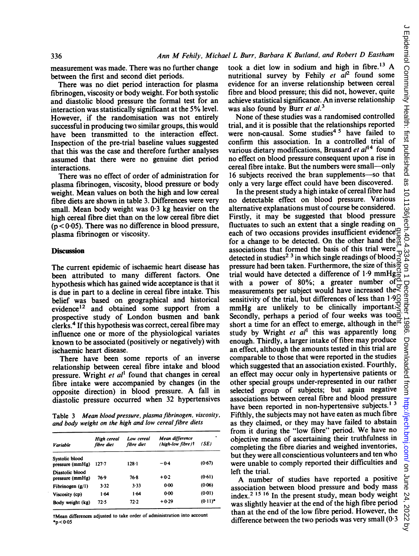measurement was made. There was no further change between the first and second diet periods.

There was no diet period interaction for plasma fibrinogen, viscosity or body weight. For both systolic and diastolic blood pressure the formal test for an interaction was statistically significant at the 5% level. However, if the randomisation was not entirely successful in producing two similar groups, this would have been transmitted to the interaction effect. Inspection of the pre-trial baseline values suggested that this was the case and therefore further analyses assumed that there were no genuine diet period interactions.

There was no effect of order of administration for plasma fibrinogen, viscosity, blood pressure or body weight. Mean values on both the high and low cereal fibre diets are shown in table 3. Differences were very small. Mean body weight was <sup>0</sup>'3 kg heavier on the high cereal fibre diet than on the low cereal fibre diet  $(p < 0.05)$ . There was no difference in blood pressure, plasma fibrinogen or viscosity.

### **Discussion**

The current epidemic of ischaemic heart disease has been attributed to many different factors. One hypothesis which has gained wide acceptance is that it is due in part to a decline in cereal fibre intake. This belief was based on geographical and historical evidence'2 and obtained some support from a prospective study of London busmen and bank clerks.4 If this hypothesis was correct, cereal fibre may influence one or more of the physiological variates known to be associated (positively or negatively) with ischaemic heart disease.

There have been some reports of an inverse relationship between cereal fibre intake and blood pressure. Wright et  $al<sup>1</sup>$  found that changes in cereal fibre intake were accompanied by changes (in the opposite direction) in blood pressure. A fall in diastolic pressure occurred when 32 hypertensives

Table <sup>3</sup> Mean blood pressure, plasma fibrinogen, viscosity, and body weight on the high and low cereal fibre diets

| Variable                           | High cereal<br>fibre diet | Low cereal<br>fibre diet | Mean difference<br>(high-low fibre)t | (SE)       |  |
|------------------------------------|---------------------------|--------------------------|--------------------------------------|------------|--|
| Systolic blood<br>pressure (mmHg)  | $127 - 7$                 | $128 - 1$                | $-0.4$                               | (0.67)     |  |
| Diastolic blood<br>pressure (mmHg) | 76.9                      | 76-8                     | $+0.2$                               | (0.61)     |  |
| Fibrinogen (g/l)                   | 3.32                      | 3.33                     | 0.00                                 | (0.06)     |  |
| Viscosity (cp)                     | 1.64                      | 1.64                     | 0.00                                 | (0.01)     |  |
| Body weight (kg)                   | 72.5                      | 72.2                     | $+0.29$                              | $(0.11)^*$ |  |

tMean differences adjusted to take order of administration into account \*p<0 05

took <sup>a</sup> diet low in sodium and high in fibre.'3 A nutritional survey by Fehily et  $a l^2$  found some evidence for an inverse relationship between cereal fibre and blood pressure; this did not, however, quite achieve statistical significance. An inverse relationship was also found by Burr et al.<sup>3</sup>

None of these studies was a randomised controlled trial, and it is possible that the relationships reported were non-causal. Some studies<sup>45</sup> have failed to confirm this association. In a controlled trial of various dietary modifications, Brussard et  $al^{14}$  found no effect on blood pressure consequent upon a rise in cereal fibre intake. But the numbers were small-only 16 subjects received the bran supplements-so that only a very large effect could have been discovered.

In the present study a high intake of cereal fibre had no detectable effect on blood pressure. Various alternative explanations must of course be considered. Firstly, it may be suggested that blood pressure fluctuates to such an extent that a single reading on each of two occasions provides insufficient evidence<sup>C</sup> for a change to be detected. On the other hand the  $\mathbb B$ associations that formed the basis of this trial were detected in studies<sup>2</sup><sup>3</sup> in which single readings of blood  $\frac{1}{0}$ pressure had been taken. Furthermore, the size of this  $\vec{\sigma}$ trial would have detected <sup>a</sup> difference of 1-9 mmHg with a power of 80%; a greater number of measurements per subject would have increased the sensitivity of the trial, but differences of less than  $1.98$ mmHg are unlikely to be clinically important. Secondly, perhaps a period of four weeks was tood short a time for an effect to emerge, although in the.<sup>7</sup> study by Wright et  $al<sup>1</sup>$  this was apparently long enough. Thirdly, a larger intake of fibre may produce an effect, although the amounts tested in this trial are comparable to those that were reported in the studies which suggested that an association existed. Fourthly, an effect may occur only in hypertensive patients or other special groups under-represented in our rather selected group of subjects; but again negative associations between cereal fibre and blood pressure have been reported in non-hypertensive subjects.<sup>13</sup> Fifthly, the subjects may not have eaten as much fibre as they claimed, or they may have failed to abstain from it during the "low fibre" period. We have no objective means of ascertaining their truthfulness in completing the fibre diaries and weighed inventories, but they were all conscientious volunteers and ten who were unable to comply reported their difficulties and left the trial. guest. Protected by copyright.

A number of studies have reported <sup>a</sup> positive association between blood pressure and body mass index.2 <sup>15</sup> <sup>16</sup> In the present study, mean body weight was slightly heavier at the end of the high fibre period than at the end of the low fibre period. However, the difference between the two periods was very small  $(0.3)$